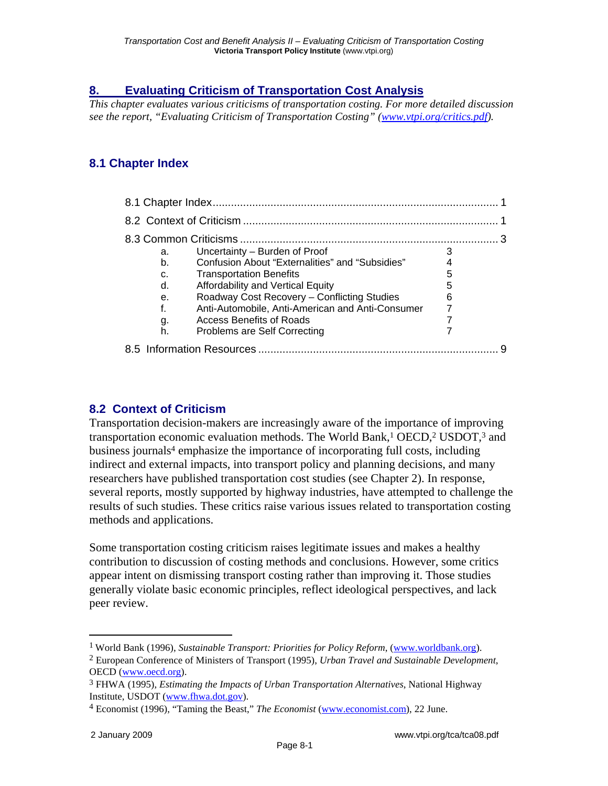# **8. Evaluating Criticism of Transportation Cost Analysis**

*This chapter evaluates various criticisms of transportation costing. For more detailed discussion see the report, "Evaluating Criticism of Transportation Costing" (www.vtpi.org/critics.pdf).* 

# **8.1 Chapter Index**

|                           | a. | Uncertainty – Burden of Proof                    |   |  |
|---------------------------|----|--------------------------------------------------|---|--|
|                           | b. | Confusion About "Externalities" and "Subsidies"  |   |  |
|                           | C. | <b>Transportation Benefits</b>                   |   |  |
|                           | d. | Affordability and Vertical Equity                | h |  |
|                           | е. | Roadway Cost Recovery - Conflicting Studies      | 6 |  |
|                           | f. | Anti-Automobile, Anti-American and Anti-Consumer |   |  |
|                           | g. | <b>Access Benefits of Roads</b>                  |   |  |
|                           | h. | Problems are Self Correcting                     |   |  |
| 8.5 Information Resources |    |                                                  |   |  |

## **8.2 Context of Criticism**

Transportation decision-makers are increasingly aware of the importance of improving transportation economic evaluation methods. The World Bank,<sup>1</sup> OECD,<sup>2</sup> USDOT,<sup>3</sup> and business journals4 emphasize the importance of incorporating full costs, including indirect and external impacts, into transport policy and planning decisions, and many researchers have published transportation cost studies (see Chapter 2). In response, several reports, mostly supported by highway industries, have attempted to challenge the results of such studies. These critics raise various issues related to transportation costing methods and applications.

Some transportation costing criticism raises legitimate issues and makes a healthy contribution to discussion of costing methods and conclusions. However, some critics appear intent on dismissing transport costing rather than improving it. Those studies generally violate basic economic principles, reflect ideological perspectives, and lack peer review.

<sup>1</sup> World Bank (1996), *Sustainable Transport: Priorities for Policy Reform*, (www.worldbank.org).

<sup>2</sup> European Conference of Ministers of Transport (1995), *Urban Travel and Sustainable Development*, OECD (www.oecd.org).

<sup>3</sup> FHWA (1995), *Estimating the Impacts of Urban Transportation Alternatives*, National Highway Institute, USDOT (www.fhwa.dot.gov).

<sup>4</sup> Economist (1996), "Taming the Beast," *The Economist* (www.economist.com), 22 June.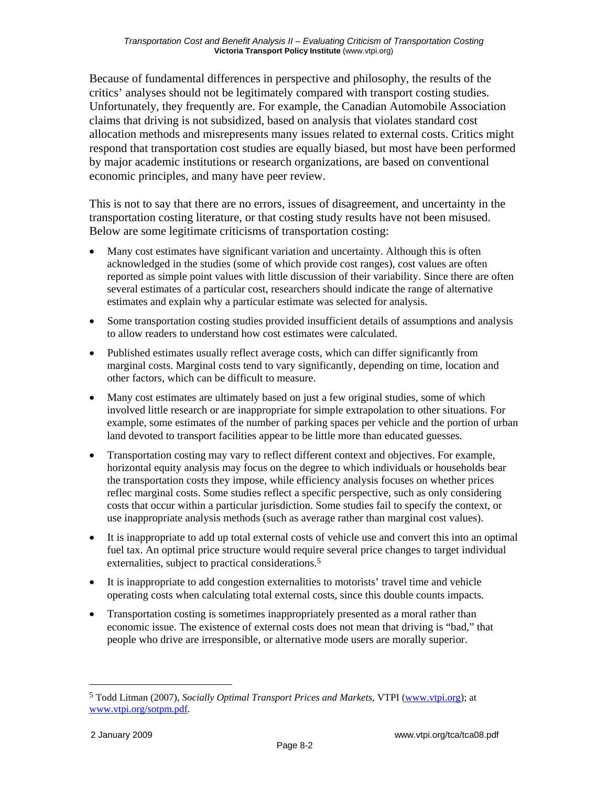Because of fundamental differences in perspective and philosophy, the results of the critics' analyses should not be legitimately compared with transport costing studies. Unfortunately, they frequently are. For example, the Canadian Automobile Association claims that driving is not subsidized, based on analysis that violates standard cost allocation methods and misrepresents many issues related to external costs. Critics might respond that transportation cost studies are equally biased, but most have been performed by major academic institutions or research organizations, are based on conventional economic principles, and many have peer review.

This is not to say that there are no errors, issues of disagreement, and uncertainty in the transportation costing literature, or that costing study results have not been misused. Below are some legitimate criticisms of transportation costing:

- Many cost estimates have significant variation and uncertainty. Although this is often acknowledged in the studies (some of which provide cost ranges), cost values are often reported as simple point values with little discussion of their variability. Since there are often several estimates of a particular cost, researchers should indicate the range of alternative estimates and explain why a particular estimate was selected for analysis.
- Some transportation costing studies provided insufficient details of assumptions and analysis to allow readers to understand how cost estimates were calculated.
- Published estimates usually reflect average costs, which can differ significantly from marginal costs. Marginal costs tend to vary significantly, depending on time, location and other factors, which can be difficult to measure.
- Many cost estimates are ultimately based on just a few original studies, some of which involved little research or are inappropriate for simple extrapolation to other situations. For example, some estimates of the number of parking spaces per vehicle and the portion of urban land devoted to transport facilities appear to be little more than educated guesses.
- Transportation costing may vary to reflect different context and objectives. For example, horizontal equity analysis may focus on the degree to which individuals or households bear the transportation costs they impose, while efficiency analysis focuses on whether prices reflec marginal costs. Some studies reflect a specific perspective, such as only considering costs that occur within a particular jurisdiction. Some studies fail to specify the context, or use inappropriate analysis methods (such as average rather than marginal cost values).
- It is inappropriate to add up total external costs of vehicle use and convert this into an optimal fuel tax. An optimal price structure would require several price changes to target individual externalities, subject to practical considerations.<sup>5</sup>
- It is inappropriate to add congestion externalities to motorists' travel time and vehicle operating costs when calculating total external costs, since this double counts impacts.
- Transportation costing is sometimes inappropriately presented as a moral rather than economic issue. The existence of external costs does not mean that driving is "bad," that people who drive are irresponsible, or alternative mode users are morally superior.

<sup>5</sup> Todd Litman (2007), *Socially Optimal Transport Prices and Markets*, VTPI (www.vtpi.org); at www.vtpi.org/sotpm.pdf.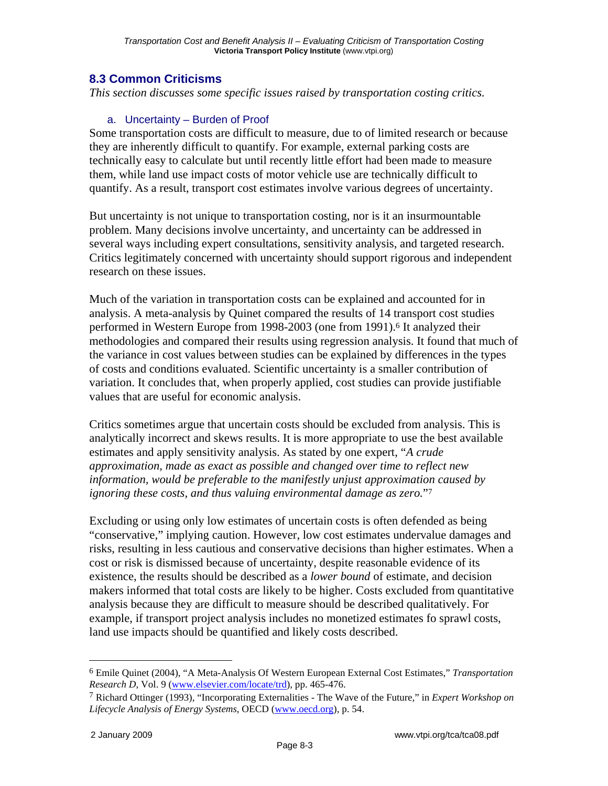## **8.3 Common Criticisms**

*This section discusses some specific issues raised by transportation costing critics.* 

### a. Uncertainty – Burden of Proof

Some transportation costs are difficult to measure, due to of limited research or because they are inherently difficult to quantify. For example, external parking costs are technically easy to calculate but until recently little effort had been made to measure them, while land use impact costs of motor vehicle use are technically difficult to quantify. As a result, transport cost estimates involve various degrees of uncertainty.

But uncertainty is not unique to transportation costing, nor is it an insurmountable problem. Many decisions involve uncertainty, and uncertainty can be addressed in several ways including expert consultations, sensitivity analysis, and targeted research. Critics legitimately concerned with uncertainty should support rigorous and independent research on these issues.

Much of the variation in transportation costs can be explained and accounted for in analysis. A meta-analysis by Quinet compared the results of 14 transport cost studies performed in Western Europe from 1998-2003 (one from 1991).<sup>6</sup> It analyzed their methodologies and compared their results using regression analysis. It found that much of the variance in cost values between studies can be explained by differences in the types of costs and conditions evaluated. Scientific uncertainty is a smaller contribution of variation. It concludes that, when properly applied, cost studies can provide justifiable values that are useful for economic analysis.

Critics sometimes argue that uncertain costs should be excluded from analysis. This is analytically incorrect and skews results. It is more appropriate to use the best available estimates and apply sensitivity analysis. As stated by one expert, "*A crude approximation, made as exact as possible and changed over time to reflect new information, would be preferable to the manifestly unjust approximation caused by ignoring these costs, and thus valuing environmental damage as zero.*"7

Excluding or using only low estimates of uncertain costs is often defended as being "conservative," implying caution. However, low cost estimates undervalue damages and risks, resulting in less cautious and conservative decisions than higher estimates. When a cost or risk is dismissed because of uncertainty, despite reasonable evidence of its existence, the results should be described as a *lower bound* of estimate, and decision makers informed that total costs are likely to be higher. Costs excluded from quantitative analysis because they are difficult to measure should be described qualitatively. For example, if transport project analysis includes no monetized estimates fo sprawl costs, land use impacts should be quantified and likely costs described.

<sup>6</sup> Emile Quinet (2004), "A Meta-Analysis Of Western European External Cost Estimates," *Transportation Research D*, Vol. 9 (www.elsevier.com/locate/trd), pp. 465-476.

<sup>7</sup> Richard Ottinger (1993), "Incorporating Externalities - The Wave of the Future," in *Expert Workshop on Lifecycle Analysis of Energy Systems*, OECD (www.oecd.org), p. 54.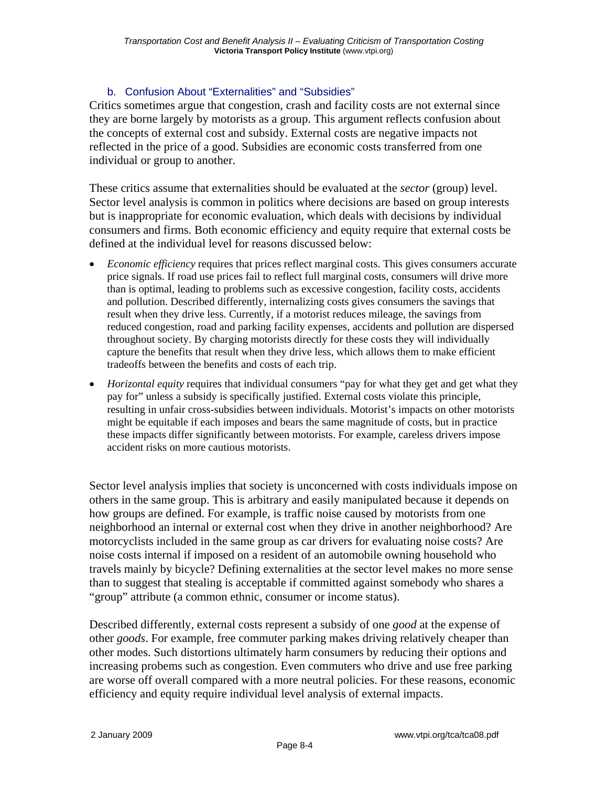#### b. Confusion About "Externalities" and "Subsidies"

Critics sometimes argue that congestion, crash and facility costs are not external since they are borne largely by motorists as a group. This argument reflects confusion about the concepts of external cost and subsidy. External costs are negative impacts not reflected in the price of a good. Subsidies are economic costs transferred from one individual or group to another.

These critics assume that externalities should be evaluated at the *sector* (group) level. Sector level analysis is common in politics where decisions are based on group interests but is inappropriate for economic evaluation, which deals with decisions by individual consumers and firms. Both economic efficiency and equity require that external costs be defined at the individual level for reasons discussed below:

- *Economic efficiency* requires that prices reflect marginal costs. This gives consumers accurate price signals. If road use prices fail to reflect full marginal costs, consumers will drive more than is optimal, leading to problems such as excessive congestion, facility costs, accidents and pollution. Described differently, internalizing costs gives consumers the savings that result when they drive less. Currently, if a motorist reduces mileage, the savings from reduced congestion, road and parking facility expenses, accidents and pollution are dispersed throughout society. By charging motorists directly for these costs they will individually capture the benefits that result when they drive less, which allows them to make efficient tradeoffs between the benefits and costs of each trip.
- *Horizontal equity* requires that individual consumers "pay for what they get and get what they pay for" unless a subsidy is specifically justified. External costs violate this principle, resulting in unfair cross-subsidies between individuals. Motorist's impacts on other motorists might be equitable if each imposes and bears the same magnitude of costs, but in practice these impacts differ significantly between motorists. For example, careless drivers impose accident risks on more cautious motorists.

Sector level analysis implies that society is unconcerned with costs individuals impose on others in the same group. This is arbitrary and easily manipulated because it depends on how groups are defined. For example, is traffic noise caused by motorists from one neighborhood an internal or external cost when they drive in another neighborhood? Are motorcyclists included in the same group as car drivers for evaluating noise costs? Are noise costs internal if imposed on a resident of an automobile owning household who travels mainly by bicycle? Defining externalities at the sector level makes no more sense than to suggest that stealing is acceptable if committed against somebody who shares a "group" attribute (a common ethnic, consumer or income status).

Described differently, external costs represent a subsidy of one *good* at the expense of other *goods*. For example, free commuter parking makes driving relatively cheaper than other modes. Such distortions ultimately harm consumers by reducing their options and increasing probems such as congestion. Even commuters who drive and use free parking are worse off overall compared with a more neutral policies. For these reasons, economic efficiency and equity require individual level analysis of external impacts.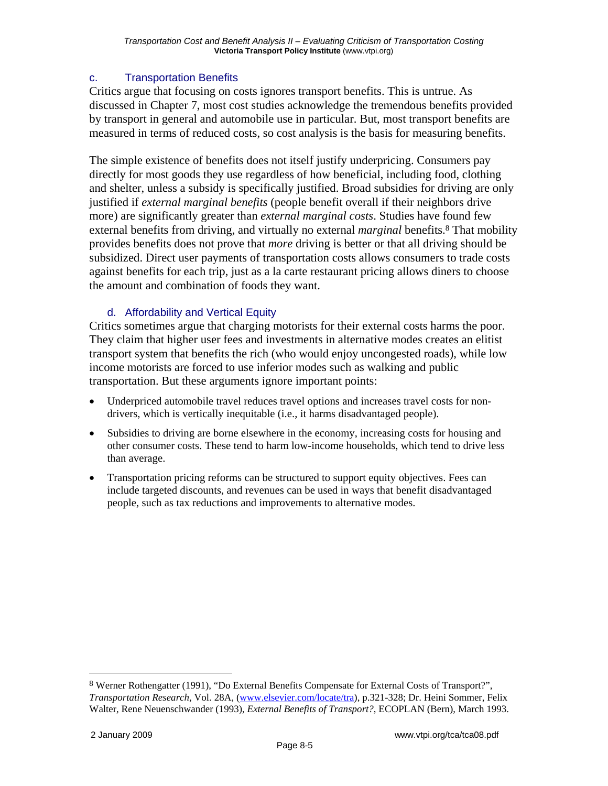## c. Transportation Benefits

Critics argue that focusing on costs ignores transport benefits. This is untrue. As discussed in Chapter 7, most cost studies acknowledge the tremendous benefits provided by transport in general and automobile use in particular. But, most transport benefits are measured in terms of reduced costs, so cost analysis is the basis for measuring benefits.

The simple existence of benefits does not itself justify underpricing. Consumers pay directly for most goods they use regardless of how beneficial, including food, clothing and shelter, unless a subsidy is specifically justified. Broad subsidies for driving are only justified if *external marginal benefits* (people benefit overall if their neighbors drive more) are significantly greater than *external marginal costs*. Studies have found few external benefits from driving, and virtually no external *marginal* benefits.<sup>8</sup> That mobility provides benefits does not prove that *more* driving is better or that all driving should be subsidized. Direct user payments of transportation costs allows consumers to trade costs against benefits for each trip, just as a la carte restaurant pricing allows diners to choose the amount and combination of foods they want.

### d. Affordability and Vertical Equity

Critics sometimes argue that charging motorists for their external costs harms the poor. They claim that higher user fees and investments in alternative modes creates an elitist transport system that benefits the rich (who would enjoy uncongested roads), while low income motorists are forced to use inferior modes such as walking and public transportation. But these arguments ignore important points:

- Underpriced automobile travel reduces travel options and increases travel costs for nondrivers, which is vertically inequitable (i.e., it harms disadvantaged people).
- Subsidies to driving are borne elsewhere in the economy, increasing costs for housing and other consumer costs. These tend to harm low-income households, which tend to drive less than average.
- Transportation pricing reforms can be structured to support equity objectives. Fees can include targeted discounts, and revenues can be used in ways that benefit disadvantaged people, such as tax reductions and improvements to alternative modes.

<sup>8</sup> Werner Rothengatter (1991), "Do External Benefits Compensate for External Costs of Transport?", *Transportation Research*, Vol. 28A, (www.elsevier.com/locate/tra), p.321-328; Dr. Heini Sommer, Felix Walter, Rene Neuenschwander (1993), *External Benefits of Transport?*, ECOPLAN (Bern), March 1993.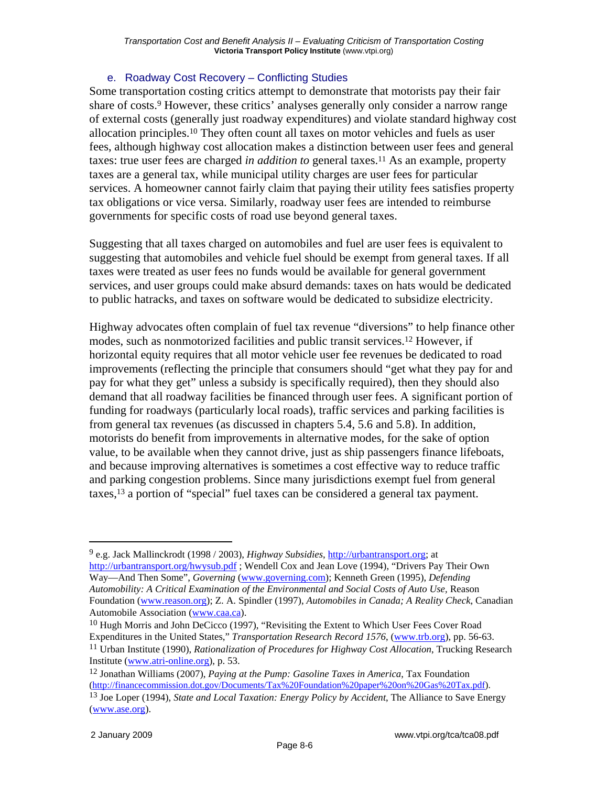#### e. Roadway Cost Recovery – Conflicting Studies

Some transportation costing critics attempt to demonstrate that motorists pay their fair share of costs.<sup>9</sup> However, these critics' analyses generally only consider a narrow range of external costs (generally just roadway expenditures) and violate standard highway cost allocation principles.10 They often count all taxes on motor vehicles and fuels as user fees, although highway cost allocation makes a distinction between user fees and general taxes: true user fees are charged *in addition to* general taxes.11 As an example, property taxes are a general tax, while municipal utility charges are user fees for particular services. A homeowner cannot fairly claim that paying their utility fees satisfies property tax obligations or vice versa. Similarly, roadway user fees are intended to reimburse governments for specific costs of road use beyond general taxes.

Suggesting that all taxes charged on automobiles and fuel are user fees is equivalent to suggesting that automobiles and vehicle fuel should be exempt from general taxes. If all taxes were treated as user fees no funds would be available for general government services, and user groups could make absurd demands: taxes on hats would be dedicated to public hatracks, and taxes on software would be dedicated to subsidize electricity.

Highway advocates often complain of fuel tax revenue "diversions" to help finance other modes, such as nonmotorized facilities and public transit services.12 However, if horizontal equity requires that all motor vehicle user fee revenues be dedicated to road improvements (reflecting the principle that consumers should "get what they pay for and pay for what they get" unless a subsidy is specifically required), then they should also demand that all roadway facilities be financed through user fees. A significant portion of funding for roadways (particularly local roads), traffic services and parking facilities is from general tax revenues (as discussed in chapters 5.4, 5.6 and 5.8). In addition, motorists do benefit from improvements in alternative modes, for the sake of option value, to be available when they cannot drive, just as ship passengers finance lifeboats, and because improving alternatives is sometimes a cost effective way to reduce traffic and parking congestion problems. Since many jurisdictions exempt fuel from general taxes,13 a portion of "special" fuel taxes can be considered a general tax payment.

1

<sup>9</sup> e.g. Jack Mallinckrodt (1998 / 2003), *Highway Subsidies*, http://urbantransport.org; at http://urbantransport.org/hwysub.pdf ; Wendell Cox and Jean Love (1994), "Drivers Pay Their Own Way—And Then Some", *Governing* (www.governing.com); Kenneth Green (1995), *Defending Automobility: A Critical Examination of the Environmental and Social Costs of Auto Use,* Reason Foundation (www.reason.org); Z. A. Spindler (1997), *Automobiles in Canada; A Reality Check*, Canadian Automobile Association (www.caa.ca).

<sup>&</sup>lt;sup>10</sup> Hugh Morris and John DeCicco (1997), "Revisiting the Extent to Which User Fees Cover Road Expenditures in the United States," *Transportation Research Record 1576*, (www.trb.org), pp. 56-63.

<sup>11</sup> Urban Institute (1990), *Rationalization of Procedures for Highway Cost Allocation*, Trucking Research Institute (www.atri-online.org), p. 53.

<sup>12</sup> Jonathan Williams (2007), *Paying at the Pump: Gasoline Taxes in America*, Tax Foundation (http://financecommission.dot.gov/Documents/Tax%20Foundation%20paper%20on%20Gas%20Tax.pdf).

<sup>13</sup> Joe Loper (1994), *State and Local Taxation: Energy Policy by Accident*, The Alliance to Save Energy (www.ase.org).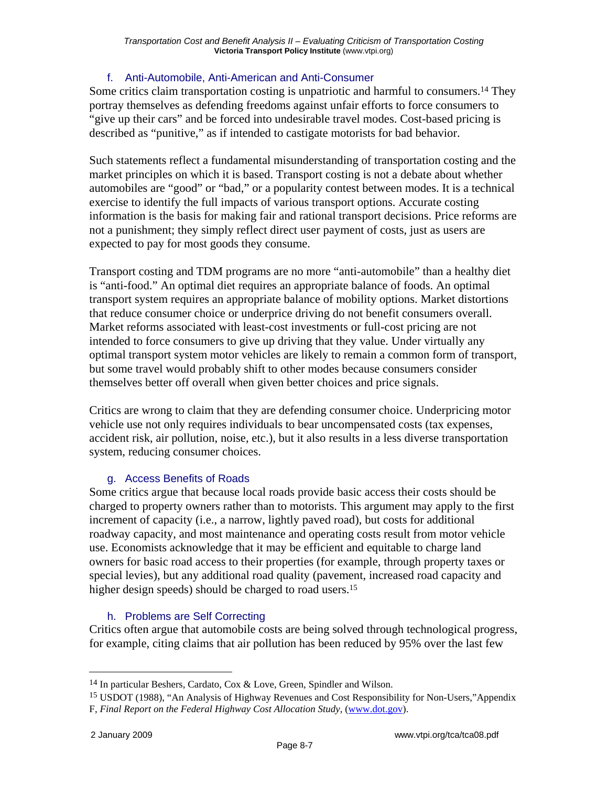### f. Anti-Automobile, Anti-American and Anti-Consumer

Some critics claim transportation costing is unpatriotic and harmful to consumers.14 They portray themselves as defending freedoms against unfair efforts to force consumers to "give up their cars" and be forced into undesirable travel modes. Cost-based pricing is described as "punitive," as if intended to castigate motorists for bad behavior.

Such statements reflect a fundamental misunderstanding of transportation costing and the market principles on which it is based. Transport costing is not a debate about whether automobiles are "good" or "bad," or a popularity contest between modes. It is a technical exercise to identify the full impacts of various transport options. Accurate costing information is the basis for making fair and rational transport decisions. Price reforms are not a punishment; they simply reflect direct user payment of costs, just as users are expected to pay for most goods they consume.

Transport costing and TDM programs are no more "anti-automobile" than a healthy diet is "anti-food." An optimal diet requires an appropriate balance of foods. An optimal transport system requires an appropriate balance of mobility options. Market distortions that reduce consumer choice or underprice driving do not benefit consumers overall. Market reforms associated with least-cost investments or full-cost pricing are not intended to force consumers to give up driving that they value. Under virtually any optimal transport system motor vehicles are likely to remain a common form of transport, but some travel would probably shift to other modes because consumers consider themselves better off overall when given better choices and price signals.

Critics are wrong to claim that they are defending consumer choice. Underpricing motor vehicle use not only requires individuals to bear uncompensated costs (tax expenses, accident risk, air pollution, noise, etc.), but it also results in a less diverse transportation system, reducing consumer choices.

## g. Access Benefits of Roads

Some critics argue that because local roads provide basic access their costs should be charged to property owners rather than to motorists. This argument may apply to the first increment of capacity (i.e., a narrow, lightly paved road), but costs for additional roadway capacity, and most maintenance and operating costs result from motor vehicle use. Economists acknowledge that it may be efficient and equitable to charge land owners for basic road access to their properties (for example, through property taxes or special levies), but any additional road quality (pavement, increased road capacity and higher design speeds) should be charged to road users.<sup>15</sup>

## h. Problems are Self Correcting

Critics often argue that automobile costs are being solved through technological progress, for example, citing claims that air pollution has been reduced by 95% over the last few

<sup>14</sup> In particular Beshers, Cardato, Cox & Love, Green, Spindler and Wilson.

<sup>15</sup> USDOT (1988), "An Analysis of Highway Revenues and Cost Responsibility for Non-Users,"Appendix F, *Final Report on the Federal Highway Cost Allocation Study*, (www.dot.gov).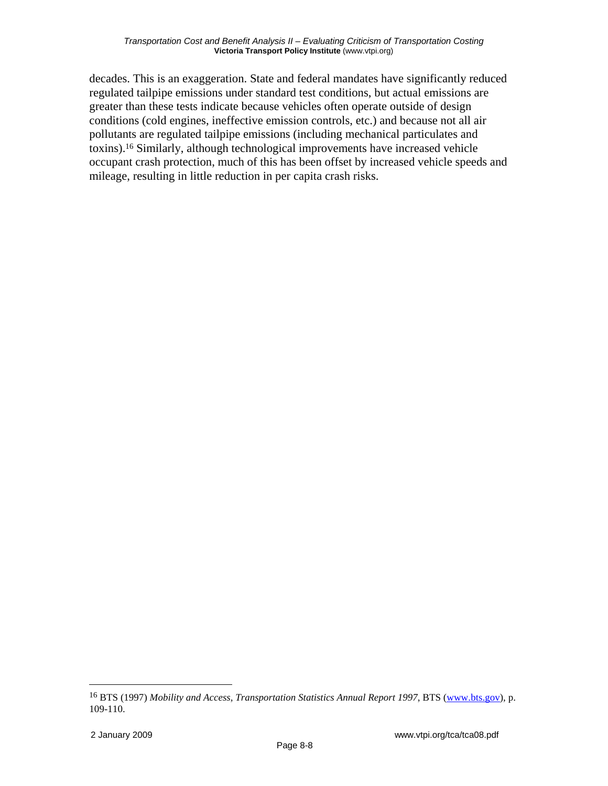decades. This is an exaggeration. State and federal mandates have significantly reduced regulated tailpipe emissions under standard test conditions, but actual emissions are greater than these tests indicate because vehicles often operate outside of design conditions (cold engines, ineffective emission controls, etc.) and because not all air pollutants are regulated tailpipe emissions (including mechanical particulates and toxins).16 Similarly, although technological improvements have increased vehicle occupant crash protection, much of this has been offset by increased vehicle speeds and mileage, resulting in little reduction in per capita crash risks.

1

<sup>16</sup> BTS (1997) *Mobility and Access, Transportation Statistics Annual Report 1997*, BTS (www.bts.gov), p. 109-110.